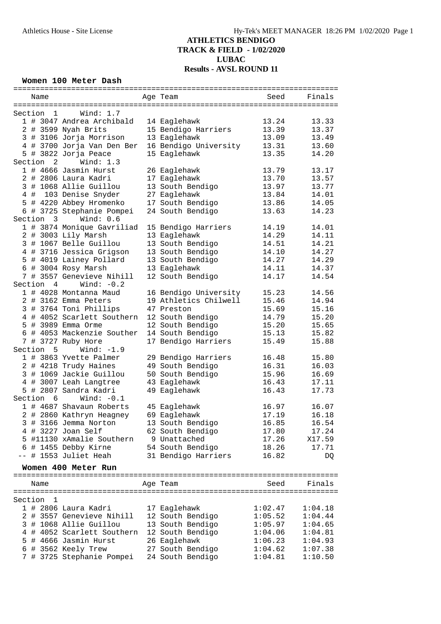### **Women 100 Meter Dash**

| Name                    |                            |  | Age Team              | Seed    | Finals  |  |  |  |
|-------------------------|----------------------------|--|-----------------------|---------|---------|--|--|--|
|                         |                            |  |                       |         |         |  |  |  |
| Section<br>$\mathbf{1}$ | Wind: $1.7$                |  |                       |         |         |  |  |  |
|                         | 1 # 3047 Andrea Archibald  |  | 14 Eaglehawk          | 13.24   | 13.33   |  |  |  |
|                         | 2 # 3599 Nyah Brits        |  | 15 Bendigo Harriers   | 13.39   | 13.37   |  |  |  |
|                         | 3 # 3106 Jorja Morrison    |  | 13 Eaglehawk          | 13.09   | 13.49   |  |  |  |
|                         | 4 # 3700 Jorja Van Den Ber |  | 16 Bendigo University | 13.31   | 13.60   |  |  |  |
|                         |                            |  | 15 Eaglehawk          | 13.35   | 14.20   |  |  |  |
| Section <sub>2</sub>    | 5 # 3822 Jorja Peace       |  |                       |         |         |  |  |  |
|                         | Wind: $1.3$                |  |                       |         |         |  |  |  |
|                         | 1 # 4666 Jasmin Hurst      |  | 26 Eaglehawk          | 13.79   | 13.17   |  |  |  |
|                         | 2 # 2806 Laura Kadri       |  | 17 Eaglehawk          | 13.70   | 13.57   |  |  |  |
|                         | 3 # 1068 Allie Guillou     |  | 13 South Bendigo      | 13.97   | 13.77   |  |  |  |
|                         | 4 # 103 Denise Snyder      |  | 27 Eaglehawk          | 13.84   | 14.01   |  |  |  |
|                         | 5 # 4220 Abbey Hromenko    |  | 17 South Bendigo      | 13.86   | 14.05   |  |  |  |
|                         | 6 # 3725 Stephanie Pompei  |  | 24 South Bendigo      | 13.63   | 14.23   |  |  |  |
| Section 3               | Wind: $0.6$                |  |                       |         |         |  |  |  |
|                         | 1 # 3874 Monique Gavriliad |  | 15 Bendigo Harriers   | 14.19   | 14.01   |  |  |  |
|                         | 2 # 3003 Lily Marsh        |  | 13 Eaglehawk          | 14.29   | 14.11   |  |  |  |
|                         | 3 # 1067 Belle Guillou     |  | 13 South Bendigo      | 14.51   | 14.21   |  |  |  |
|                         | 4 # 3716 Jessica Grigson   |  | 13 South Bendigo      | 14.10   | 14.27   |  |  |  |
|                         | 5 # 4019 Lainey Pollard    |  | 13 South Bendigo      | 14.27   | 14.29   |  |  |  |
|                         |                            |  |                       |         |         |  |  |  |
|                         | 6 # 3004 Rosy Marsh        |  | 13 Eaglehawk          | 14.11   | 14.37   |  |  |  |
|                         | 7 # 3557 Genevieve Nihill  |  | 12 South Bendigo      | 14.17   | 14.54   |  |  |  |
| Section 4               | Wind: $-0.2$               |  |                       |         |         |  |  |  |
|                         | 1 # 4028 Montanna Maud     |  | 16 Bendigo University | 15.23   | 14.56   |  |  |  |
|                         | 2 # 3162 Emma Peters       |  | 19 Athletics Chilwell | 15.46   | 14.94   |  |  |  |
|                         | 3 # 3764 Toni Phillips     |  | 47 Preston            | 15.69   | 15.16   |  |  |  |
|                         | 4 # 4052 Scarlett Southern |  | 12 South Bendigo      | 14.79   | 15.20   |  |  |  |
|                         | 5 # 3989 Emma Orme         |  | 12 South Bendigo      | 15.20   | 15.65   |  |  |  |
|                         | 6 # 4053 Mackenzie Souther |  | 14 South Bendigo      | 15.13   | 15.82   |  |  |  |
|                         | 7 # 3727 Ruby Hore         |  | 17 Bendigo Harriers   | 15.49   | 15.88   |  |  |  |
| Section 5               | Wind: $-1.9$               |  |                       |         |         |  |  |  |
|                         | 1 # 3863 Yvette Palmer     |  | 29 Bendigo Harriers   | 16.48   | 15.80   |  |  |  |
|                         | 2 # 4218 Trudy Haines      |  | 49 South Bendigo      | 16.31   | 16.03   |  |  |  |
|                         | 3 # 1069 Jackie Guillou    |  | 50 South Bendigo      | 15.96   | 16.69   |  |  |  |
|                         |                            |  |                       |         |         |  |  |  |
|                         | 4 # 3007 Leah Langtree     |  | 43 Eaglehawk          | 16.43   | 17.11   |  |  |  |
|                         | 5 # 2807 Sandra Kadri      |  | 49 Eaglehawk          | 16.43   | 17.73   |  |  |  |
| Section 6               | Wind: $-0.1$               |  |                       |         |         |  |  |  |
|                         | 1 # 4687 Shavaun Roberts   |  | 45 Eaglehawk          | 16.97   | 16.07   |  |  |  |
|                         | 2 # 2860 Kathryn Heagney   |  | 69 Eaglehawk          | 17.19   | 16.18   |  |  |  |
|                         | 3 # 3166 Jemma Norton      |  | 13 South Bendigo      | 16.85   | 16.54   |  |  |  |
|                         | 4 # 3227 Joan Self         |  | 62 South Bendigo      | 17.80   | 17.24   |  |  |  |
|                         | 5 #11130 xAmalie Southern  |  | 9 Unattached          | 17.26   | X17.59  |  |  |  |
| 6                       | # 1455 Debby Kirne         |  | 54 South Bendigo      | 18.26   | 17.71   |  |  |  |
|                         | # 1553 Juliet Heah         |  | 31 Bendigo Harriers   | 16.82   | DQ      |  |  |  |
|                         |                            |  |                       |         |         |  |  |  |
|                         | Women 400 Meter Run        |  |                       |         |         |  |  |  |
|                         |                            |  |                       |         |         |  |  |  |
| Name                    |                            |  | Age Team              | Seed    | Finals  |  |  |  |
|                         |                            |  |                       |         |         |  |  |  |
| Section<br>1            |                            |  |                       |         |         |  |  |  |
|                         | 1 # 2806 Laura Kadri       |  | 17 Eaglehawk          | 1:02.47 | 1:04.18 |  |  |  |
| 2                       | # 3557 Genevieve Nihill    |  | 12 South Bendigo      | 1:05.52 | 1:04.44 |  |  |  |
|                         | 3 # 1068 Allie Guillou     |  | 13 South Bendigo      | 1:05.97 | 1:04.65 |  |  |  |
|                         | 4 # 4052 Scarlett Southern |  | 12 South Bendigo      | 1:04.06 | 1:04.81 |  |  |  |
| 5                       | # 4666 Jasmin Hurst        |  | 26 Eaglehawk          | 1:06.23 | 1:04.93 |  |  |  |
| 6                       | # 3562 Keely Trew          |  | 27 South Bendigo      | 1:04.62 | 1:07.38 |  |  |  |
|                         |                            |  |                       |         |         |  |  |  |
|                         | 7 # 3725 Stephanie Pompei  |  | 24 South Bendigo      | 1:04.81 | 1:10.50 |  |  |  |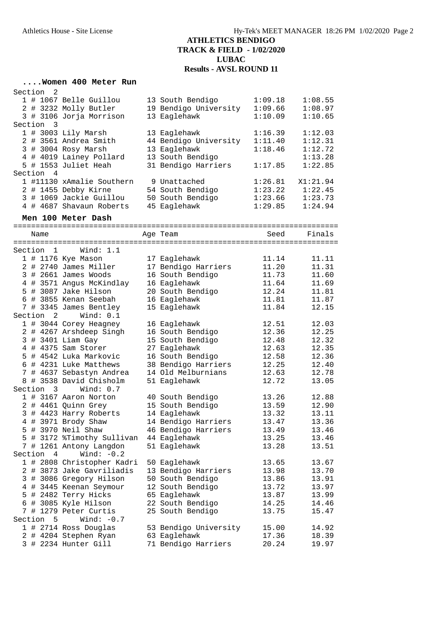### **....Women 400 Meter Run**

| Section 2 |                           |                       |         |          |
|-----------|---------------------------|-----------------------|---------|----------|
|           | 1 # 1067 Belle Guillou    | 13 South Bendigo      | 1:09.18 | 1:08.55  |
|           | 2 # 3232 Molly Butler     | 19 Bendigo University | 1:09.66 | 1:08.97  |
|           | 3 # 3106 Jorja Morrison   | 13 Eaglehawk          | 1:10.09 | 1:10.65  |
| Section 3 |                           |                       |         |          |
|           | $1$ # 3003 Lily Marsh     | 13 Eaglehawk          | 1:16.39 | 1:12.03  |
|           | 2 # 3561 Andrea Smith     | 44 Bendigo University | 1:11.40 | 1:12.31  |
|           | 3 # 3004 Rosy Marsh       | 13 Eaglehawk          | 1:18.46 | 1:12.72  |
|           | 4 # 4019 Lainey Pollard   | 13 South Bendigo      |         | 1:13.28  |
|           | 5 # 1553 Juliet Heah      | 31 Bendigo Harriers   | 1:17.85 | 1:22.85  |
| Section 4 |                           |                       |         |          |
|           | 1 #11130 xAmalie Southern | 9 Unattached          | 1:26.81 | X1:21.94 |
|           | 2 # 1455 Debby Kirne      | 54 South Bendigo      | 1:23.22 | 1:22.45  |
|           | 3 # 1069 Jackie Guillou   | 50 South Bendigo      | 1:23.66 | 1:23.73  |
|           | 4 # 4687 Shavaun Roberts  | 45 Eaglehawk          | 1:29.85 | 1:24.94  |

**Men 100 Meter Dash**

=========================================================================

| Name                                  |                                                | Age Team              | Seed  | Finals |
|---------------------------------------|------------------------------------------------|-----------------------|-------|--------|
| Section<br>1                          | ===============================<br>Wind: $1.1$ |                       |       |        |
| 1 # 1176 Kye Mason                    |                                                | 17 Eaglehawk          | 11.14 | 11.11  |
| # 2740 James Miller<br>$\overline{2}$ |                                                | 17 Bendigo Harriers   | 11.20 | 11.31  |
| # 2661 James Woods<br>3               |                                                | 16 South Bendigo      | 11.73 | 11.60  |
| 4                                     | # 3571 Angus McKindlay                         | 16 Eaglehawk          | 11.64 | 11.69  |
| 5 # 3087 Jake Hilson                  |                                                | 20 South Bendigo      | 12.24 | 11.81  |
| 6 # 3855 Kenan Seebah                 |                                                | 16 Eaglehawk          | 11.81 | 11.87  |
| 7 # 3345 James Bentley                |                                                | 15 Eaglehawk          | 11.84 | 12.15  |
| Section<br>2                          | Wind: $0.1$                                    |                       |       |        |
| 1 # 3044 Corey Heagney                |                                                | 16 Eaglehawk          | 12.51 | 12.03  |
| 2 # 4267 Arshdeep Singh               |                                                | 16 South Bendigo      | 12.36 | 12.25  |
| 3 # 3401 Liam Gay                     |                                                | 15 South Bendigo      | 12.48 | 12.32  |
| 4 # 4375 Sam Storer                   |                                                | 27 Eaglehawk          | 12.63 | 12.35  |
| 5 # 4542 Luka Markovic                |                                                | 16 South Bendigo      | 12.58 | 12.36  |
| 6 # 4231 Luke Matthews                |                                                | 38 Bendigo Harriers   | 12.25 | 12.40  |
| 7                                     | # 4637 Sebastyn Andrea                         | 14 Old Melburnians    | 12.63 | 12.78  |
| 8 # 3538 David Chisholm               |                                                | 51 Eaglehawk          | 12.72 | 13.05  |
| Section<br>Wind: $0.7$<br>3           |                                                |                       |       |        |
| 1 # 3167 Aaron Norton                 |                                                | 40 South Bendigo      | 13.26 | 12.88  |
| # 4461 Quinn Grey<br>2                |                                                | 15 South Bendigo      | 13.59 | 12.90  |
| # 4423 Harry Roberts<br>3             |                                                | 14 Eaglehawk          | 13.32 | 13.11  |
| 4 # 3971 Brody Shaw                   |                                                | 14 Bendigo Harriers   | 13.47 | 13.36  |
| 5 # 3970 Neil Shaw                    |                                                | 46 Bendigo Harriers   | 13.49 | 13.46  |
|                                       | 5 # 3172 %Timothy Sullivan                     | 44 Eaglehawk          | 13.25 | 13.46  |
| 7 # 1261 Antony Langdon               |                                                | 51 Eaglehawk          | 13.28 | 13.51  |
| Section 4                             | Wind: $-0.2$                                   |                       |       |        |
|                                       | 1 # 2808 Christopher Kadri                     | 50 Eaglehawk          | 13.65 | 13.67  |
| $\overline{a}$                        | # 3873 Jake Gavriliadis                        | 13 Bendigo Harriers   | 13.98 | 13.70  |
| 3 # 3086 Gregory Hilson               |                                                | 50 South Bendigo      | 13.86 | 13.91  |
| 4 # 3445 Keenan Seymour               |                                                | 12 South Bendigo      | 13.72 | 13.97  |
| 5 # 2482 Terry Hicks                  |                                                | 65 Eaglehawk          | 13.87 | 13.99  |
| 6 # 3085 Kyle Hilson                  |                                                | 22 South Bendigo      | 14.25 | 14.46  |
| # 1279 Peter Curtis<br>7              |                                                | 25 South Bendigo      | 13.75 | 15.47  |
| Section<br>5                          | Wind: $-0.7$                                   |                       |       |        |
| 1 # 2714 Ross Douglas                 |                                                | 53 Bendigo University | 15.00 | 14.92  |
| 2 # 4204 Stephen Ryan                 |                                                | 63 Eaglehawk          | 17.36 | 18.39  |
| 3 # 2234 Hunter Gill                  |                                                | 71 Bendigo Harriers   | 20.24 | 19.97  |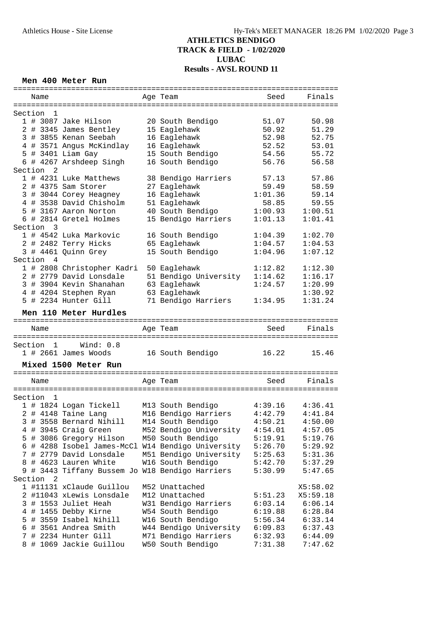### **Men 400 Meter Run**

| Name                                              | Age Team                                  | Seed               | Finals             |
|---------------------------------------------------|-------------------------------------------|--------------------|--------------------|
|                                                   |                                           |                    |                    |
| Section<br>-1                                     |                                           |                    |                    |
| 1 # 3087 Jake Hilson                              | 20 South Bendigo                          | 51.07              | 50.98              |
| 2 # 3345 James Bentley                            | 15 Eaglehawk                              | 50.92              | 51.29              |
| 3 # 3855 Kenan Seebah                             | 16 Eaglehawk                              | 52.98              | 52.75              |
| 4 # 3571 Angus McKindlay                          | 16 Eaglehawk                              | 52.52              | 53.01              |
| 5 # 3401 Liam Gay                                 | 15 South Bendigo                          | 54.56              | 55.72              |
| 6 # 4267 Arshdeep Singh                           | 16 South Bendigo                          | 56.76              | 56.58              |
| Section<br>-2                                     |                                           |                    |                    |
| 1 # 4231 Luke Matthews                            | 38 Bendigo Harriers                       | 57.13              | 57.86              |
|                                                   |                                           |                    |                    |
| 2 # 4375 Sam Storer                               | 27 Eaglehawk                              | 59.49              | 58.59              |
| 3 # 3044 Corey Heagney                            | 16 Eaglehawk                              | 1:01.36            | 59.14              |
| 4 # 3538 David Chisholm                           | 51 Eaglehawk                              | 58.85              | 59.55              |
| 5 # 3167 Aaron Norton                             | 40 South Bendigo                          | 1:00.93            | 1:00.51            |
| 6 # 2814 Gretel Holmes                            | 15 Bendigo Harriers                       | 1:01.13            | 1:01.41            |
| Section<br>$\overline{\mathbf{3}}$                |                                           |                    |                    |
| 1 # 4542 Luka Markovic                            | 16 South Bendigo                          | 1:04.39            | 1:02.70            |
| 2 # 2482 Terry Hicks                              | 65 Eaglehawk                              | 1:04.57            | 1:04.53            |
| 3 # 4461 Quinn Grey                               | 15 South Bendigo                          | 1:04.96            | 1:07.12            |
| Section 4                                         |                                           |                    |                    |
| 1 # 2808 Christopher Kadri                        | 50 Eaglehawk                              | 1:12.82            | 1:12.30            |
| 2 # 2779 David Lonsdale                           | 51 Bendigo University                     | 1:14.62            | 1:16.17            |
| 3 # 3904 Kevin Shanahan                           | 63 Eaglehawk                              | 1:24.57            | 1:20.99            |
| 4 # 4204 Stephen Ryan                             | 63 Eaglehawk                              |                    | 1:30.92            |
| 5 # 2234 Hunter Gill                              | 71 Bendigo Harriers                       | 1:34.95            | 1:31.24            |
|                                                   |                                           |                    |                    |
| Men 110 Meter Hurdles                             |                                           |                    |                    |
|                                                   |                                           |                    |                    |
|                                                   |                                           |                    |                    |
| Name                                              | Age Team                                  | Seed               | Finals             |
|                                                   |                                           |                    |                    |
| Wind: 0.8<br>Section<br>$\overline{1}$            |                                           |                    |                    |
| $1$ # 2661 James Woods                            | 16 South Bendigo                          | 16.22              | 15.46              |
|                                                   |                                           |                    |                    |
| Mixed 1500 Meter Run                              |                                           |                    |                    |
|                                                   |                                           |                    |                    |
| Name                                              | Age Team                                  | Seed               | Finals             |
|                                                   |                                           |                    |                    |
| Section<br>1                                      |                                           |                    |                    |
| 1 # 1824 Logan Tickell                            | M13 South Bendigo                         | 4:39.16            | 4:36.41            |
| 2 # 4148 Taine Lang                               | M16 Bendigo Harriers                      | 4:42.79            | 4:41.84            |
| 3 # 3558 Bernard Nihill                           | M14 South Bendigo                         | 4:50.21            | 4:50.00            |
| 4 # 3945 Craig Green                              | M52 Bendigo University                    | 4:54.01            | 4:57.05            |
| 5 # 3086 Gregory Hilson                           | M50 South Bendigo                         | 5:19.91            | 5:19.76            |
| 6 # 4288 Isobel James-McCl W14 Bendigo University |                                           | 5:26.70            | 5:29.92            |
| # 2779 David Lonsdale<br>7                        | M51 Bendigo University                    | 5:25.63            | 5:31.36            |
| 8 # 4623 Lauren White                             |                                           | 5:42.70            |                    |
|                                                   | W16 South Bendigo                         |                    | 5:37.29            |
| 9 # 3443 Tiffany Bussem Jo W18 Bendigo Harriers   |                                           | 5:30.99            | 5:47.65            |
| Section<br>2                                      |                                           |                    |                    |
| 1 #11131 xClaude Guillou                          | M52 Unattached                            |                    | X5:58.02           |
| 2 #11043 xLewis Lonsdale                          | M12 Unattached                            | 5:51.23            | X5:59.18           |
| 3 # 1553 Juliet Heah                              | W31 Bendigo Harriers                      | 6:03.14            | 6:06.14            |
| 4 # 1455 Debby Kirne                              | W54 South Bendigo                         | 6:19.88            | 6:28.84            |
| 5 # 3559 Isabel Nihill                            | W16 South Bendigo                         | 5:56.34            | 6:33.14            |
| 6 # 3561 Andrea Smith                             | W44 Bendigo University                    | 6:09.83            | 6:37.43            |
| 7 # 2234 Hunter Gill<br>8 # 1069 Jackie Guillou   | M71 Bendigo Harriers<br>W50 South Bendigo | 6:32.93<br>7:31.38 | 6:44.09<br>7:47.62 |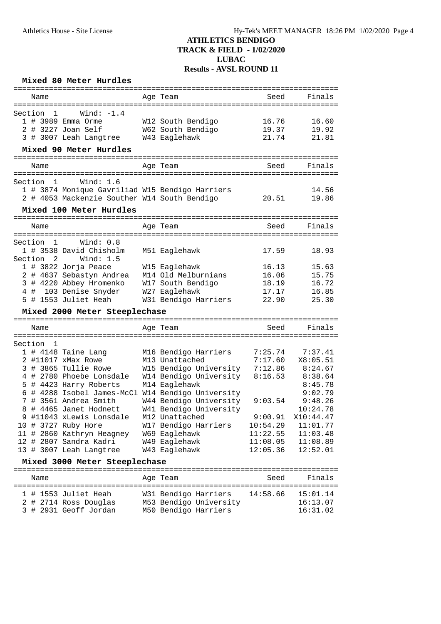### **Mixed 80 Meter Hurdles**

| Name                                              | Age Team               | Seed     | Finals            |
|---------------------------------------------------|------------------------|----------|-------------------|
|                                                   |                        |          |                   |
| Wind: $-1.4$<br>Section<br>1                      |                        |          |                   |
| 1 # 3989 Emma Orme                                | W12 South Bendigo      | 16.76    | 16.60             |
| 2 # 3227 Joan Self                                | W62 South Bendigo      | 19.37    | 19.92             |
| 3 # 3007 Leah Langtree                            | W43 Eaglehawk          | 21.74    | 21.81             |
| Mixed 90 Meter Hurdles                            |                        |          |                   |
| Name                                              | Age Team               | Seed     | Finals            |
|                                                   |                        |          |                   |
| Section 1<br>Wind: $1.6$                          |                        |          |                   |
| 1 # 3874 Monique Gavriliad W15 Bendigo Harriers   |                        |          | 14.56             |
| 2 # 4053 Mackenzie Souther W14 South Bendigo      |                        | 20.51    | 19.86             |
| Mixed 100 Meter Hurdles                           |                        |          |                   |
| Name                                              | Age Team               | Seed     | Finals            |
|                                                   |                        |          |                   |
| Section<br>1<br>Wind: 0.8                         |                        |          |                   |
| 1 # 3538 David Chisholm                           | M51 Eaglehawk          | 17.59    | 18.93             |
| Section <sub>2</sub><br>Wind: $1.5$               |                        |          |                   |
| 1 # 3822 Jorja Peace                              | W15 Eaglehawk          | 16.13    | 15.63             |
| 2 # 4637 Sebastyn Andrea                          | M14 Old Melburnians    | 16.06    | 15.75             |
| 3 # 4220 Abbey Hromenko                           | W17 South Bendigo      | 18.19    | 16.72             |
| 4 # 103 Denise Snyder                             | W27 Eaglehawk          | 17.17    | 16.85             |
| 5 # 1553 Juliet Heah                              | W31 Bendigo Harriers   | 22.90    | 25.30             |
| Mixed 2000 Meter Steeplechase                     |                        |          |                   |
|                                                   |                        |          |                   |
| Name                                              | Age Team               | Seed     | Finals            |
| Section<br>- 1                                    |                        |          |                   |
| 1 # 4148 Taine Lang                               | M16 Bendigo Harriers   | 7:25.74  | 7:37.41           |
| 2 #11017 xMax Rowe                                | M13 Unattached         | 7:17.60  | X8:05.51          |
| 3 # 3865 Tullie Rowe                              | W15 Bendigo University | 7:12.86  | 8:24.67           |
| 4 # 2780 Phoebe Lonsdale                          | W14 Bendigo University | 8:16.53  | 8:38.64           |
| 5 # 4423 Harry Roberts                            | M14 Eaglehawk          |          | 8:45.78           |
| 6 # 4288 Isobel James-McCl W14 Bendigo University |                        |          | 9:02.79           |
| 7 # 3561 Andrea Smith                             | W44 Bendigo University | 9:03.54  | 9:48.26           |
| 8 # 4465 Janet Hodnett                            | W41 Bendigo University |          | 10:24.78          |
| 9 #11043 xLewis Lonsdale                          | M12 Unattached         |          | 9:00.91 X10:44.47 |
| 10 # 3727 Ruby Hore                               | W17 Bendigo Harriers   | 10:54.29 | 11:01.77          |
| 11 # 2860 Kathryn Heagney                         | W69 Eaglehawk          | 11:22.55 | 11:03.48          |
| 12 # 2807 Sandra Kadri                            | W49 Eaglehawk          | 11:08.05 | 11:08.89          |
| 13 # 3007 Leah Langtree                           | W43 Eaglehawk          | 12:05.36 | 12:52.01          |
| Mixed 3000 Meter Steeplechase                     |                        |          |                   |
|                                                   |                        |          |                   |
| Name                                              | Age Team               | Seed     | Finals            |
| 1 # 1553 Juliet Heah                              | W31 Bendigo Harriers   | 14:58.66 | 15:01.14          |
| 2 # 2714 Ross Douglas                             | M53 Bendigo University |          | 16:13.07          |
| 3 # 2931 Geoff Jordan                             | M50 Bendigo Harriers   |          | 16:31.02          |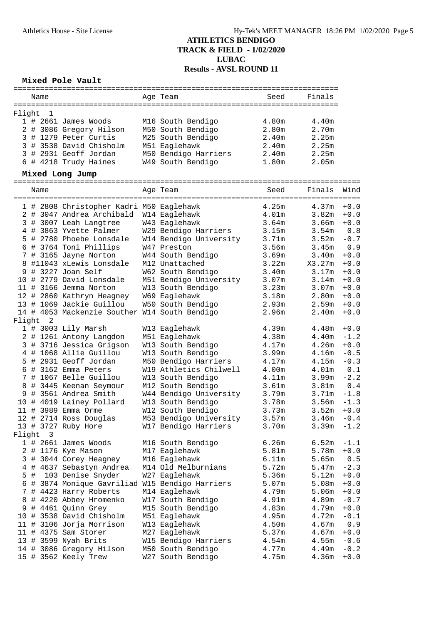### **Mixed Pole Vault**

| Age Team<br>Seed<br>Finals<br>Name<br>Flight<br>1<br>$1$ # 2661 James Woods<br>M16 South Bendigo<br>4.80m<br>4.40m<br>2 # 3086 Gregory Hilson<br>M50 South Bendigo<br>2.80m<br>2.70m<br>3 # 1279 Peter Curtis<br>M25 South Bendigo<br>2.25m<br>2.40 <sub>m</sub><br>2.25m<br>3 # 3538 David Chisholm<br>M51 Eaglehawk<br>2.40m<br>3 # 2931 Geoff Jordan<br>M50 Bendigo Harriers<br>2.25m<br>2.40m<br>6 # 4218 Trudy Haines<br>W49 South Bendigo<br>2.05m<br>1.80m<br>Mixed Long Jump<br>Finals<br>Wind<br>Age Team<br>Seed<br>Name<br>4.25m<br>$+0.0$<br>1 # 2808 Christopher Kadri M50 Eaglehawk<br>4.37m<br>4.01m<br>2 # 3047 Andrea Archibald W14 Eaglehawk<br>3.82m<br>$+0.0$<br>3.64m<br>$+0.0$<br>3 # 3007 Leah Langtree<br>W43 Eaglehawk<br>3.66m<br>W29 Bendigo Harriers<br>3.54m<br>0.8<br>4 # 3863 Yvette Palmer<br>3.15m<br>5 # 2780 Phoebe Lonsdale<br>W14 Bendigo University<br>3.71m<br>3.52m<br>$-0.7$<br>0.9<br>6 # 3764 Toni Phillips<br>W47 Preston<br>3.56m<br>3.45m<br>7 # 3165 Jayne Norton<br>3.69m<br>3.40m<br>$+0.0$<br>W44 South Bendigo<br>8 #11043 xLewis Lonsdale<br>M12 Unattached<br>3.22m<br>X3.27m<br>$+0.0$<br>9 # 3227 Joan Self<br>W62 South Bendigo<br>$+0.0$<br>3.40m<br>3.17m<br>10 # 2779 David Lonsdale<br>M51 Bendigo University<br>$+0.0$<br>3.07 <sub>m</sub><br>3.14m<br>11 # 3166 Jemma Norton<br>W13 South Bendigo<br>3.23m<br>3.07 <sub>m</sub><br>$+0.0$<br>12 # 2860 Kathryn Heagney<br>W69 Eaglehawk<br>3.18m<br>2.80 <sub>m</sub><br>$+0.0$<br>13 # 1069 Jackie Guillou<br>2.93m<br>$+0.0$<br>W50 South Bendigo<br>2.59m<br>14 # 4053 Mackenzie Souther W14 South Bendigo<br>2.96m<br>2.40m<br>$+0.0$<br>Flight 2<br>1 # 3003 Lily Marsh<br>4.39m<br>4.48m<br>$+0.0$<br>W13 Eaglehawk<br>4.38m<br>2 # 1261 Antony Langdon<br>M51 Eaglehawk<br>4.40m<br>$-1.2$<br>3 # 3716 Jessica Grigson<br>4.26m<br>$+0.0$<br>W13 South Bendigo<br>4.17m<br>W13 South Bendigo<br>4 # 1068 Allie Guillou<br>3.99m<br>4.16m<br>$-0.5$<br>5 # 2931 Geoff Jordan<br>$-0.3$<br>M50 Bendigo Harriers<br>4.17m<br>4.15m<br>W19 Athletics Chilwell<br>0.1<br>6 # 3162 Emma Peters<br>4.00m<br>4.01 <sub>m</sub><br>$-2.2$<br>7 # 1067 Belle Guillou<br>W13 South Bendigo<br>3.99 <sub>m</sub><br>4.11m<br>8 # 3445 Keenan Seymour<br>M12 South Bendigo<br>3.61m<br>3.81 <sub>m</sub><br>0.4<br>W44 Bendigo University<br>$-1.8$<br>9 # 3561 Andrea Smith<br>3.79m<br>3.71m<br>10 # 4019 Lainey Pollard<br>W13 South Bendigo<br>3.78m<br>3.56m<br>$-1.3$<br>11 # 3989 Emma Orme<br>W12 South Bendigo<br>3.73m<br>3.52 <sub>m</sub><br>$+0.0$<br>M53 Bendigo University<br>3.57m<br>12 # 2714 Ross Douglas<br>$3.46m - 0.4$<br>W17 Bendigo Harriers<br>3.39m<br>13 # 3727 Ruby Hore<br>3.70m<br>$-1.2$<br>Flight<br>3<br>M16 South Bendigo<br>6.26m<br>6.52m<br>$1$ # 2661 James Woods<br>$-1.1$<br>2<br># 1176 Kye Mason<br>5.81m<br>5.78m<br>$+0.0$<br>M17 Eaglehawk<br>5.65m<br># 3044 Corey Heagney<br>M16 Eaglehawk<br>6.11m<br>0.5<br>3<br># 4637 Sebastyn Andrea<br>M14 Old Melburnians<br>5.72m<br>5.47m<br>$-2.3$<br>4<br>5 #<br>103 Denise Snyder<br>5.12m<br>$+0.0$<br>W27 Eaglehawk<br>5.36m<br>5.07m<br>5.08m<br>$+0.0$<br># 3874 Monique Gavriliad W15 Bendigo Harriers<br>6<br>7 # 4423 Harry Roberts<br>M14 Eaglehawk<br>4.79m<br>5.06m<br>$+0.0$<br># 4220 Abbey Hromenko<br>W17 South Bendigo<br>4.91m<br>4.89m<br>$-0.7$<br>8<br># 4461 Quinn Grey<br>M15 South Bendigo<br>4.83m<br>4.79m<br>$+0.0$<br>9<br>10 # 3538 David Chisholm<br>M51 Eaglehawk<br>4.95m<br>4.72m<br>$-0.1$<br>11 # 3106 Jorja Morrison<br>4.67m<br>0.9<br>W13 Eaglehawk<br>4.50m<br>5.37m<br>4.67m<br>11 # 4375 Sam Storer<br>M27 Eaglehawk<br>$+0.0$<br>13 # 3599 Nyah Brits<br>W15 Bendigo Harriers<br>4.54m<br>4.55m<br>$-0.6$<br>3086 Gregory Hilson<br>4.49m<br>$-0.2$<br>M50 South Bendigo<br>4.77m<br>14 #<br>W27 South Bendigo<br>$+0.0$<br>15 # 3562 Keely Trew<br>4.75m<br>4.36m |  |  |  |  |  |  |  |  |  |  |  |  |  |
|-----------------------------------------------------------------------------------------------------------------------------------------------------------------------------------------------------------------------------------------------------------------------------------------------------------------------------------------------------------------------------------------------------------------------------------------------------------------------------------------------------------------------------------------------------------------------------------------------------------------------------------------------------------------------------------------------------------------------------------------------------------------------------------------------------------------------------------------------------------------------------------------------------------------------------------------------------------------------------------------------------------------------------------------------------------------------------------------------------------------------------------------------------------------------------------------------------------------------------------------------------------------------------------------------------------------------------------------------------------------------------------------------------------------------------------------------------------------------------------------------------------------------------------------------------------------------------------------------------------------------------------------------------------------------------------------------------------------------------------------------------------------------------------------------------------------------------------------------------------------------------------------------------------------------------------------------------------------------------------------------------------------------------------------------------------------------------------------------------------------------------------------------------------------------------------------------------------------------------------------------------------------------------------------------------------------------------------------------------------------------------------------------------------------------------------------------------------------------------------------------------------------------------------------------------------------------------------------------------------------------------------------------------------------------------------------------------------------------------------------------------------------------------------------------------------------------------------------------------------------------------------------------------------------------------------------------------------------------------------------------------------------------------------------------------------------------------------------------------------------------------------------------------------------------------------------------------------------------------------------------------------------------------------------------------------------------------------------------------------------------------------------------------------------------------------------------------------------------------------------------------------------------------------------------------------------------------------------------------------------------------------------------------------------------------------------------------------------------------------------------------------------------------------------------------------------------------------------------------------------------------------------------------------------|--|--|--|--|--|--|--|--|--|--|--|--|--|
|                                                                                                                                                                                                                                                                                                                                                                                                                                                                                                                                                                                                                                                                                                                                                                                                                                                                                                                                                                                                                                                                                                                                                                                                                                                                                                                                                                                                                                                                                                                                                                                                                                                                                                                                                                                                                                                                                                                                                                                                                                                                                                                                                                                                                                                                                                                                                                                                                                                                                                                                                                                                                                                                                                                                                                                                                                                                                                                                                                                                                                                                                                                                                                                                                                                                                                                                                                                                                                                                                                                                                                                                                                                                                                                                                                                                                                                                                                                 |  |  |  |  |  |  |  |  |  |  |  |  |  |
|                                                                                                                                                                                                                                                                                                                                                                                                                                                                                                                                                                                                                                                                                                                                                                                                                                                                                                                                                                                                                                                                                                                                                                                                                                                                                                                                                                                                                                                                                                                                                                                                                                                                                                                                                                                                                                                                                                                                                                                                                                                                                                                                                                                                                                                                                                                                                                                                                                                                                                                                                                                                                                                                                                                                                                                                                                                                                                                                                                                                                                                                                                                                                                                                                                                                                                                                                                                                                                                                                                                                                                                                                                                                                                                                                                                                                                                                                                                 |  |  |  |  |  |  |  |  |  |  |  |  |  |
|                                                                                                                                                                                                                                                                                                                                                                                                                                                                                                                                                                                                                                                                                                                                                                                                                                                                                                                                                                                                                                                                                                                                                                                                                                                                                                                                                                                                                                                                                                                                                                                                                                                                                                                                                                                                                                                                                                                                                                                                                                                                                                                                                                                                                                                                                                                                                                                                                                                                                                                                                                                                                                                                                                                                                                                                                                                                                                                                                                                                                                                                                                                                                                                                                                                                                                                                                                                                                                                                                                                                                                                                                                                                                                                                                                                                                                                                                                                 |  |  |  |  |  |  |  |  |  |  |  |  |  |
|                                                                                                                                                                                                                                                                                                                                                                                                                                                                                                                                                                                                                                                                                                                                                                                                                                                                                                                                                                                                                                                                                                                                                                                                                                                                                                                                                                                                                                                                                                                                                                                                                                                                                                                                                                                                                                                                                                                                                                                                                                                                                                                                                                                                                                                                                                                                                                                                                                                                                                                                                                                                                                                                                                                                                                                                                                                                                                                                                                                                                                                                                                                                                                                                                                                                                                                                                                                                                                                                                                                                                                                                                                                                                                                                                                                                                                                                                                                 |  |  |  |  |  |  |  |  |  |  |  |  |  |
|                                                                                                                                                                                                                                                                                                                                                                                                                                                                                                                                                                                                                                                                                                                                                                                                                                                                                                                                                                                                                                                                                                                                                                                                                                                                                                                                                                                                                                                                                                                                                                                                                                                                                                                                                                                                                                                                                                                                                                                                                                                                                                                                                                                                                                                                                                                                                                                                                                                                                                                                                                                                                                                                                                                                                                                                                                                                                                                                                                                                                                                                                                                                                                                                                                                                                                                                                                                                                                                                                                                                                                                                                                                                                                                                                                                                                                                                                                                 |  |  |  |  |  |  |  |  |  |  |  |  |  |
|                                                                                                                                                                                                                                                                                                                                                                                                                                                                                                                                                                                                                                                                                                                                                                                                                                                                                                                                                                                                                                                                                                                                                                                                                                                                                                                                                                                                                                                                                                                                                                                                                                                                                                                                                                                                                                                                                                                                                                                                                                                                                                                                                                                                                                                                                                                                                                                                                                                                                                                                                                                                                                                                                                                                                                                                                                                                                                                                                                                                                                                                                                                                                                                                                                                                                                                                                                                                                                                                                                                                                                                                                                                                                                                                                                                                                                                                                                                 |  |  |  |  |  |  |  |  |  |  |  |  |  |
|                                                                                                                                                                                                                                                                                                                                                                                                                                                                                                                                                                                                                                                                                                                                                                                                                                                                                                                                                                                                                                                                                                                                                                                                                                                                                                                                                                                                                                                                                                                                                                                                                                                                                                                                                                                                                                                                                                                                                                                                                                                                                                                                                                                                                                                                                                                                                                                                                                                                                                                                                                                                                                                                                                                                                                                                                                                                                                                                                                                                                                                                                                                                                                                                                                                                                                                                                                                                                                                                                                                                                                                                                                                                                                                                                                                                                                                                                                                 |  |  |  |  |  |  |  |  |  |  |  |  |  |
|                                                                                                                                                                                                                                                                                                                                                                                                                                                                                                                                                                                                                                                                                                                                                                                                                                                                                                                                                                                                                                                                                                                                                                                                                                                                                                                                                                                                                                                                                                                                                                                                                                                                                                                                                                                                                                                                                                                                                                                                                                                                                                                                                                                                                                                                                                                                                                                                                                                                                                                                                                                                                                                                                                                                                                                                                                                                                                                                                                                                                                                                                                                                                                                                                                                                                                                                                                                                                                                                                                                                                                                                                                                                                                                                                                                                                                                                                                                 |  |  |  |  |  |  |  |  |  |  |  |  |  |
|                                                                                                                                                                                                                                                                                                                                                                                                                                                                                                                                                                                                                                                                                                                                                                                                                                                                                                                                                                                                                                                                                                                                                                                                                                                                                                                                                                                                                                                                                                                                                                                                                                                                                                                                                                                                                                                                                                                                                                                                                                                                                                                                                                                                                                                                                                                                                                                                                                                                                                                                                                                                                                                                                                                                                                                                                                                                                                                                                                                                                                                                                                                                                                                                                                                                                                                                                                                                                                                                                                                                                                                                                                                                                                                                                                                                                                                                                                                 |  |  |  |  |  |  |  |  |  |  |  |  |  |
|                                                                                                                                                                                                                                                                                                                                                                                                                                                                                                                                                                                                                                                                                                                                                                                                                                                                                                                                                                                                                                                                                                                                                                                                                                                                                                                                                                                                                                                                                                                                                                                                                                                                                                                                                                                                                                                                                                                                                                                                                                                                                                                                                                                                                                                                                                                                                                                                                                                                                                                                                                                                                                                                                                                                                                                                                                                                                                                                                                                                                                                                                                                                                                                                                                                                                                                                                                                                                                                                                                                                                                                                                                                                                                                                                                                                                                                                                                                 |  |  |  |  |  |  |  |  |  |  |  |  |  |
|                                                                                                                                                                                                                                                                                                                                                                                                                                                                                                                                                                                                                                                                                                                                                                                                                                                                                                                                                                                                                                                                                                                                                                                                                                                                                                                                                                                                                                                                                                                                                                                                                                                                                                                                                                                                                                                                                                                                                                                                                                                                                                                                                                                                                                                                                                                                                                                                                                                                                                                                                                                                                                                                                                                                                                                                                                                                                                                                                                                                                                                                                                                                                                                                                                                                                                                                                                                                                                                                                                                                                                                                                                                                                                                                                                                                                                                                                                                 |  |  |  |  |  |  |  |  |  |  |  |  |  |
|                                                                                                                                                                                                                                                                                                                                                                                                                                                                                                                                                                                                                                                                                                                                                                                                                                                                                                                                                                                                                                                                                                                                                                                                                                                                                                                                                                                                                                                                                                                                                                                                                                                                                                                                                                                                                                                                                                                                                                                                                                                                                                                                                                                                                                                                                                                                                                                                                                                                                                                                                                                                                                                                                                                                                                                                                                                                                                                                                                                                                                                                                                                                                                                                                                                                                                                                                                                                                                                                                                                                                                                                                                                                                                                                                                                                                                                                                                                 |  |  |  |  |  |  |  |  |  |  |  |  |  |
|                                                                                                                                                                                                                                                                                                                                                                                                                                                                                                                                                                                                                                                                                                                                                                                                                                                                                                                                                                                                                                                                                                                                                                                                                                                                                                                                                                                                                                                                                                                                                                                                                                                                                                                                                                                                                                                                                                                                                                                                                                                                                                                                                                                                                                                                                                                                                                                                                                                                                                                                                                                                                                                                                                                                                                                                                                                                                                                                                                                                                                                                                                                                                                                                                                                                                                                                                                                                                                                                                                                                                                                                                                                                                                                                                                                                                                                                                                                 |  |  |  |  |  |  |  |  |  |  |  |  |  |
|                                                                                                                                                                                                                                                                                                                                                                                                                                                                                                                                                                                                                                                                                                                                                                                                                                                                                                                                                                                                                                                                                                                                                                                                                                                                                                                                                                                                                                                                                                                                                                                                                                                                                                                                                                                                                                                                                                                                                                                                                                                                                                                                                                                                                                                                                                                                                                                                                                                                                                                                                                                                                                                                                                                                                                                                                                                                                                                                                                                                                                                                                                                                                                                                                                                                                                                                                                                                                                                                                                                                                                                                                                                                                                                                                                                                                                                                                                                 |  |  |  |  |  |  |  |  |  |  |  |  |  |
|                                                                                                                                                                                                                                                                                                                                                                                                                                                                                                                                                                                                                                                                                                                                                                                                                                                                                                                                                                                                                                                                                                                                                                                                                                                                                                                                                                                                                                                                                                                                                                                                                                                                                                                                                                                                                                                                                                                                                                                                                                                                                                                                                                                                                                                                                                                                                                                                                                                                                                                                                                                                                                                                                                                                                                                                                                                                                                                                                                                                                                                                                                                                                                                                                                                                                                                                                                                                                                                                                                                                                                                                                                                                                                                                                                                                                                                                                                                 |  |  |  |  |  |  |  |  |  |  |  |  |  |
|                                                                                                                                                                                                                                                                                                                                                                                                                                                                                                                                                                                                                                                                                                                                                                                                                                                                                                                                                                                                                                                                                                                                                                                                                                                                                                                                                                                                                                                                                                                                                                                                                                                                                                                                                                                                                                                                                                                                                                                                                                                                                                                                                                                                                                                                                                                                                                                                                                                                                                                                                                                                                                                                                                                                                                                                                                                                                                                                                                                                                                                                                                                                                                                                                                                                                                                                                                                                                                                                                                                                                                                                                                                                                                                                                                                                                                                                                                                 |  |  |  |  |  |  |  |  |  |  |  |  |  |
|                                                                                                                                                                                                                                                                                                                                                                                                                                                                                                                                                                                                                                                                                                                                                                                                                                                                                                                                                                                                                                                                                                                                                                                                                                                                                                                                                                                                                                                                                                                                                                                                                                                                                                                                                                                                                                                                                                                                                                                                                                                                                                                                                                                                                                                                                                                                                                                                                                                                                                                                                                                                                                                                                                                                                                                                                                                                                                                                                                                                                                                                                                                                                                                                                                                                                                                                                                                                                                                                                                                                                                                                                                                                                                                                                                                                                                                                                                                 |  |  |  |  |  |  |  |  |  |  |  |  |  |
|                                                                                                                                                                                                                                                                                                                                                                                                                                                                                                                                                                                                                                                                                                                                                                                                                                                                                                                                                                                                                                                                                                                                                                                                                                                                                                                                                                                                                                                                                                                                                                                                                                                                                                                                                                                                                                                                                                                                                                                                                                                                                                                                                                                                                                                                                                                                                                                                                                                                                                                                                                                                                                                                                                                                                                                                                                                                                                                                                                                                                                                                                                                                                                                                                                                                                                                                                                                                                                                                                                                                                                                                                                                                                                                                                                                                                                                                                                                 |  |  |  |  |  |  |  |  |  |  |  |  |  |
|                                                                                                                                                                                                                                                                                                                                                                                                                                                                                                                                                                                                                                                                                                                                                                                                                                                                                                                                                                                                                                                                                                                                                                                                                                                                                                                                                                                                                                                                                                                                                                                                                                                                                                                                                                                                                                                                                                                                                                                                                                                                                                                                                                                                                                                                                                                                                                                                                                                                                                                                                                                                                                                                                                                                                                                                                                                                                                                                                                                                                                                                                                                                                                                                                                                                                                                                                                                                                                                                                                                                                                                                                                                                                                                                                                                                                                                                                                                 |  |  |  |  |  |  |  |  |  |  |  |  |  |
|                                                                                                                                                                                                                                                                                                                                                                                                                                                                                                                                                                                                                                                                                                                                                                                                                                                                                                                                                                                                                                                                                                                                                                                                                                                                                                                                                                                                                                                                                                                                                                                                                                                                                                                                                                                                                                                                                                                                                                                                                                                                                                                                                                                                                                                                                                                                                                                                                                                                                                                                                                                                                                                                                                                                                                                                                                                                                                                                                                                                                                                                                                                                                                                                                                                                                                                                                                                                                                                                                                                                                                                                                                                                                                                                                                                                                                                                                                                 |  |  |  |  |  |  |  |  |  |  |  |  |  |
|                                                                                                                                                                                                                                                                                                                                                                                                                                                                                                                                                                                                                                                                                                                                                                                                                                                                                                                                                                                                                                                                                                                                                                                                                                                                                                                                                                                                                                                                                                                                                                                                                                                                                                                                                                                                                                                                                                                                                                                                                                                                                                                                                                                                                                                                                                                                                                                                                                                                                                                                                                                                                                                                                                                                                                                                                                                                                                                                                                                                                                                                                                                                                                                                                                                                                                                                                                                                                                                                                                                                                                                                                                                                                                                                                                                                                                                                                                                 |  |  |  |  |  |  |  |  |  |  |  |  |  |
|                                                                                                                                                                                                                                                                                                                                                                                                                                                                                                                                                                                                                                                                                                                                                                                                                                                                                                                                                                                                                                                                                                                                                                                                                                                                                                                                                                                                                                                                                                                                                                                                                                                                                                                                                                                                                                                                                                                                                                                                                                                                                                                                                                                                                                                                                                                                                                                                                                                                                                                                                                                                                                                                                                                                                                                                                                                                                                                                                                                                                                                                                                                                                                                                                                                                                                                                                                                                                                                                                                                                                                                                                                                                                                                                                                                                                                                                                                                 |  |  |  |  |  |  |  |  |  |  |  |  |  |
|                                                                                                                                                                                                                                                                                                                                                                                                                                                                                                                                                                                                                                                                                                                                                                                                                                                                                                                                                                                                                                                                                                                                                                                                                                                                                                                                                                                                                                                                                                                                                                                                                                                                                                                                                                                                                                                                                                                                                                                                                                                                                                                                                                                                                                                                                                                                                                                                                                                                                                                                                                                                                                                                                                                                                                                                                                                                                                                                                                                                                                                                                                                                                                                                                                                                                                                                                                                                                                                                                                                                                                                                                                                                                                                                                                                                                                                                                                                 |  |  |  |  |  |  |  |  |  |  |  |  |  |
|                                                                                                                                                                                                                                                                                                                                                                                                                                                                                                                                                                                                                                                                                                                                                                                                                                                                                                                                                                                                                                                                                                                                                                                                                                                                                                                                                                                                                                                                                                                                                                                                                                                                                                                                                                                                                                                                                                                                                                                                                                                                                                                                                                                                                                                                                                                                                                                                                                                                                                                                                                                                                                                                                                                                                                                                                                                                                                                                                                                                                                                                                                                                                                                                                                                                                                                                                                                                                                                                                                                                                                                                                                                                                                                                                                                                                                                                                                                 |  |  |  |  |  |  |  |  |  |  |  |  |  |
|                                                                                                                                                                                                                                                                                                                                                                                                                                                                                                                                                                                                                                                                                                                                                                                                                                                                                                                                                                                                                                                                                                                                                                                                                                                                                                                                                                                                                                                                                                                                                                                                                                                                                                                                                                                                                                                                                                                                                                                                                                                                                                                                                                                                                                                                                                                                                                                                                                                                                                                                                                                                                                                                                                                                                                                                                                                                                                                                                                                                                                                                                                                                                                                                                                                                                                                                                                                                                                                                                                                                                                                                                                                                                                                                                                                                                                                                                                                 |  |  |  |  |  |  |  |  |  |  |  |  |  |
|                                                                                                                                                                                                                                                                                                                                                                                                                                                                                                                                                                                                                                                                                                                                                                                                                                                                                                                                                                                                                                                                                                                                                                                                                                                                                                                                                                                                                                                                                                                                                                                                                                                                                                                                                                                                                                                                                                                                                                                                                                                                                                                                                                                                                                                                                                                                                                                                                                                                                                                                                                                                                                                                                                                                                                                                                                                                                                                                                                                                                                                                                                                                                                                                                                                                                                                                                                                                                                                                                                                                                                                                                                                                                                                                                                                                                                                                                                                 |  |  |  |  |  |  |  |  |  |  |  |  |  |
|                                                                                                                                                                                                                                                                                                                                                                                                                                                                                                                                                                                                                                                                                                                                                                                                                                                                                                                                                                                                                                                                                                                                                                                                                                                                                                                                                                                                                                                                                                                                                                                                                                                                                                                                                                                                                                                                                                                                                                                                                                                                                                                                                                                                                                                                                                                                                                                                                                                                                                                                                                                                                                                                                                                                                                                                                                                                                                                                                                                                                                                                                                                                                                                                                                                                                                                                                                                                                                                                                                                                                                                                                                                                                                                                                                                                                                                                                                                 |  |  |  |  |  |  |  |  |  |  |  |  |  |
|                                                                                                                                                                                                                                                                                                                                                                                                                                                                                                                                                                                                                                                                                                                                                                                                                                                                                                                                                                                                                                                                                                                                                                                                                                                                                                                                                                                                                                                                                                                                                                                                                                                                                                                                                                                                                                                                                                                                                                                                                                                                                                                                                                                                                                                                                                                                                                                                                                                                                                                                                                                                                                                                                                                                                                                                                                                                                                                                                                                                                                                                                                                                                                                                                                                                                                                                                                                                                                                                                                                                                                                                                                                                                                                                                                                                                                                                                                                 |  |  |  |  |  |  |  |  |  |  |  |  |  |
|                                                                                                                                                                                                                                                                                                                                                                                                                                                                                                                                                                                                                                                                                                                                                                                                                                                                                                                                                                                                                                                                                                                                                                                                                                                                                                                                                                                                                                                                                                                                                                                                                                                                                                                                                                                                                                                                                                                                                                                                                                                                                                                                                                                                                                                                                                                                                                                                                                                                                                                                                                                                                                                                                                                                                                                                                                                                                                                                                                                                                                                                                                                                                                                                                                                                                                                                                                                                                                                                                                                                                                                                                                                                                                                                                                                                                                                                                                                 |  |  |  |  |  |  |  |  |  |  |  |  |  |
|                                                                                                                                                                                                                                                                                                                                                                                                                                                                                                                                                                                                                                                                                                                                                                                                                                                                                                                                                                                                                                                                                                                                                                                                                                                                                                                                                                                                                                                                                                                                                                                                                                                                                                                                                                                                                                                                                                                                                                                                                                                                                                                                                                                                                                                                                                                                                                                                                                                                                                                                                                                                                                                                                                                                                                                                                                                                                                                                                                                                                                                                                                                                                                                                                                                                                                                                                                                                                                                                                                                                                                                                                                                                                                                                                                                                                                                                                                                 |  |  |  |  |  |  |  |  |  |  |  |  |  |
|                                                                                                                                                                                                                                                                                                                                                                                                                                                                                                                                                                                                                                                                                                                                                                                                                                                                                                                                                                                                                                                                                                                                                                                                                                                                                                                                                                                                                                                                                                                                                                                                                                                                                                                                                                                                                                                                                                                                                                                                                                                                                                                                                                                                                                                                                                                                                                                                                                                                                                                                                                                                                                                                                                                                                                                                                                                                                                                                                                                                                                                                                                                                                                                                                                                                                                                                                                                                                                                                                                                                                                                                                                                                                                                                                                                                                                                                                                                 |  |  |  |  |  |  |  |  |  |  |  |  |  |
|                                                                                                                                                                                                                                                                                                                                                                                                                                                                                                                                                                                                                                                                                                                                                                                                                                                                                                                                                                                                                                                                                                                                                                                                                                                                                                                                                                                                                                                                                                                                                                                                                                                                                                                                                                                                                                                                                                                                                                                                                                                                                                                                                                                                                                                                                                                                                                                                                                                                                                                                                                                                                                                                                                                                                                                                                                                                                                                                                                                                                                                                                                                                                                                                                                                                                                                                                                                                                                                                                                                                                                                                                                                                                                                                                                                                                                                                                                                 |  |  |  |  |  |  |  |  |  |  |  |  |  |
|                                                                                                                                                                                                                                                                                                                                                                                                                                                                                                                                                                                                                                                                                                                                                                                                                                                                                                                                                                                                                                                                                                                                                                                                                                                                                                                                                                                                                                                                                                                                                                                                                                                                                                                                                                                                                                                                                                                                                                                                                                                                                                                                                                                                                                                                                                                                                                                                                                                                                                                                                                                                                                                                                                                                                                                                                                                                                                                                                                                                                                                                                                                                                                                                                                                                                                                                                                                                                                                                                                                                                                                                                                                                                                                                                                                                                                                                                                                 |  |  |  |  |  |  |  |  |  |  |  |  |  |
|                                                                                                                                                                                                                                                                                                                                                                                                                                                                                                                                                                                                                                                                                                                                                                                                                                                                                                                                                                                                                                                                                                                                                                                                                                                                                                                                                                                                                                                                                                                                                                                                                                                                                                                                                                                                                                                                                                                                                                                                                                                                                                                                                                                                                                                                                                                                                                                                                                                                                                                                                                                                                                                                                                                                                                                                                                                                                                                                                                                                                                                                                                                                                                                                                                                                                                                                                                                                                                                                                                                                                                                                                                                                                                                                                                                                                                                                                                                 |  |  |  |  |  |  |  |  |  |  |  |  |  |
|                                                                                                                                                                                                                                                                                                                                                                                                                                                                                                                                                                                                                                                                                                                                                                                                                                                                                                                                                                                                                                                                                                                                                                                                                                                                                                                                                                                                                                                                                                                                                                                                                                                                                                                                                                                                                                                                                                                                                                                                                                                                                                                                                                                                                                                                                                                                                                                                                                                                                                                                                                                                                                                                                                                                                                                                                                                                                                                                                                                                                                                                                                                                                                                                                                                                                                                                                                                                                                                                                                                                                                                                                                                                                                                                                                                                                                                                                                                 |  |  |  |  |  |  |  |  |  |  |  |  |  |
|                                                                                                                                                                                                                                                                                                                                                                                                                                                                                                                                                                                                                                                                                                                                                                                                                                                                                                                                                                                                                                                                                                                                                                                                                                                                                                                                                                                                                                                                                                                                                                                                                                                                                                                                                                                                                                                                                                                                                                                                                                                                                                                                                                                                                                                                                                                                                                                                                                                                                                                                                                                                                                                                                                                                                                                                                                                                                                                                                                                                                                                                                                                                                                                                                                                                                                                                                                                                                                                                                                                                                                                                                                                                                                                                                                                                                                                                                                                 |  |  |  |  |  |  |  |  |  |  |  |  |  |
|                                                                                                                                                                                                                                                                                                                                                                                                                                                                                                                                                                                                                                                                                                                                                                                                                                                                                                                                                                                                                                                                                                                                                                                                                                                                                                                                                                                                                                                                                                                                                                                                                                                                                                                                                                                                                                                                                                                                                                                                                                                                                                                                                                                                                                                                                                                                                                                                                                                                                                                                                                                                                                                                                                                                                                                                                                                                                                                                                                                                                                                                                                                                                                                                                                                                                                                                                                                                                                                                                                                                                                                                                                                                                                                                                                                                                                                                                                                 |  |  |  |  |  |  |  |  |  |  |  |  |  |
|                                                                                                                                                                                                                                                                                                                                                                                                                                                                                                                                                                                                                                                                                                                                                                                                                                                                                                                                                                                                                                                                                                                                                                                                                                                                                                                                                                                                                                                                                                                                                                                                                                                                                                                                                                                                                                                                                                                                                                                                                                                                                                                                                                                                                                                                                                                                                                                                                                                                                                                                                                                                                                                                                                                                                                                                                                                                                                                                                                                                                                                                                                                                                                                                                                                                                                                                                                                                                                                                                                                                                                                                                                                                                                                                                                                                                                                                                                                 |  |  |  |  |  |  |  |  |  |  |  |  |  |
|                                                                                                                                                                                                                                                                                                                                                                                                                                                                                                                                                                                                                                                                                                                                                                                                                                                                                                                                                                                                                                                                                                                                                                                                                                                                                                                                                                                                                                                                                                                                                                                                                                                                                                                                                                                                                                                                                                                                                                                                                                                                                                                                                                                                                                                                                                                                                                                                                                                                                                                                                                                                                                                                                                                                                                                                                                                                                                                                                                                                                                                                                                                                                                                                                                                                                                                                                                                                                                                                                                                                                                                                                                                                                                                                                                                                                                                                                                                 |  |  |  |  |  |  |  |  |  |  |  |  |  |
|                                                                                                                                                                                                                                                                                                                                                                                                                                                                                                                                                                                                                                                                                                                                                                                                                                                                                                                                                                                                                                                                                                                                                                                                                                                                                                                                                                                                                                                                                                                                                                                                                                                                                                                                                                                                                                                                                                                                                                                                                                                                                                                                                                                                                                                                                                                                                                                                                                                                                                                                                                                                                                                                                                                                                                                                                                                                                                                                                                                                                                                                                                                                                                                                                                                                                                                                                                                                                                                                                                                                                                                                                                                                                                                                                                                                                                                                                                                 |  |  |  |  |  |  |  |  |  |  |  |  |  |
|                                                                                                                                                                                                                                                                                                                                                                                                                                                                                                                                                                                                                                                                                                                                                                                                                                                                                                                                                                                                                                                                                                                                                                                                                                                                                                                                                                                                                                                                                                                                                                                                                                                                                                                                                                                                                                                                                                                                                                                                                                                                                                                                                                                                                                                                                                                                                                                                                                                                                                                                                                                                                                                                                                                                                                                                                                                                                                                                                                                                                                                                                                                                                                                                                                                                                                                                                                                                                                                                                                                                                                                                                                                                                                                                                                                                                                                                                                                 |  |  |  |  |  |  |  |  |  |  |  |  |  |
|                                                                                                                                                                                                                                                                                                                                                                                                                                                                                                                                                                                                                                                                                                                                                                                                                                                                                                                                                                                                                                                                                                                                                                                                                                                                                                                                                                                                                                                                                                                                                                                                                                                                                                                                                                                                                                                                                                                                                                                                                                                                                                                                                                                                                                                                                                                                                                                                                                                                                                                                                                                                                                                                                                                                                                                                                                                                                                                                                                                                                                                                                                                                                                                                                                                                                                                                                                                                                                                                                                                                                                                                                                                                                                                                                                                                                                                                                                                 |  |  |  |  |  |  |  |  |  |  |  |  |  |
|                                                                                                                                                                                                                                                                                                                                                                                                                                                                                                                                                                                                                                                                                                                                                                                                                                                                                                                                                                                                                                                                                                                                                                                                                                                                                                                                                                                                                                                                                                                                                                                                                                                                                                                                                                                                                                                                                                                                                                                                                                                                                                                                                                                                                                                                                                                                                                                                                                                                                                                                                                                                                                                                                                                                                                                                                                                                                                                                                                                                                                                                                                                                                                                                                                                                                                                                                                                                                                                                                                                                                                                                                                                                                                                                                                                                                                                                                                                 |  |  |  |  |  |  |  |  |  |  |  |  |  |
|                                                                                                                                                                                                                                                                                                                                                                                                                                                                                                                                                                                                                                                                                                                                                                                                                                                                                                                                                                                                                                                                                                                                                                                                                                                                                                                                                                                                                                                                                                                                                                                                                                                                                                                                                                                                                                                                                                                                                                                                                                                                                                                                                                                                                                                                                                                                                                                                                                                                                                                                                                                                                                                                                                                                                                                                                                                                                                                                                                                                                                                                                                                                                                                                                                                                                                                                                                                                                                                                                                                                                                                                                                                                                                                                                                                                                                                                                                                 |  |  |  |  |  |  |  |  |  |  |  |  |  |
|                                                                                                                                                                                                                                                                                                                                                                                                                                                                                                                                                                                                                                                                                                                                                                                                                                                                                                                                                                                                                                                                                                                                                                                                                                                                                                                                                                                                                                                                                                                                                                                                                                                                                                                                                                                                                                                                                                                                                                                                                                                                                                                                                                                                                                                                                                                                                                                                                                                                                                                                                                                                                                                                                                                                                                                                                                                                                                                                                                                                                                                                                                                                                                                                                                                                                                                                                                                                                                                                                                                                                                                                                                                                                                                                                                                                                                                                                                                 |  |  |  |  |  |  |  |  |  |  |  |  |  |
|                                                                                                                                                                                                                                                                                                                                                                                                                                                                                                                                                                                                                                                                                                                                                                                                                                                                                                                                                                                                                                                                                                                                                                                                                                                                                                                                                                                                                                                                                                                                                                                                                                                                                                                                                                                                                                                                                                                                                                                                                                                                                                                                                                                                                                                                                                                                                                                                                                                                                                                                                                                                                                                                                                                                                                                                                                                                                                                                                                                                                                                                                                                                                                                                                                                                                                                                                                                                                                                                                                                                                                                                                                                                                                                                                                                                                                                                                                                 |  |  |  |  |  |  |  |  |  |  |  |  |  |
|                                                                                                                                                                                                                                                                                                                                                                                                                                                                                                                                                                                                                                                                                                                                                                                                                                                                                                                                                                                                                                                                                                                                                                                                                                                                                                                                                                                                                                                                                                                                                                                                                                                                                                                                                                                                                                                                                                                                                                                                                                                                                                                                                                                                                                                                                                                                                                                                                                                                                                                                                                                                                                                                                                                                                                                                                                                                                                                                                                                                                                                                                                                                                                                                                                                                                                                                                                                                                                                                                                                                                                                                                                                                                                                                                                                                                                                                                                                 |  |  |  |  |  |  |  |  |  |  |  |  |  |
|                                                                                                                                                                                                                                                                                                                                                                                                                                                                                                                                                                                                                                                                                                                                                                                                                                                                                                                                                                                                                                                                                                                                                                                                                                                                                                                                                                                                                                                                                                                                                                                                                                                                                                                                                                                                                                                                                                                                                                                                                                                                                                                                                                                                                                                                                                                                                                                                                                                                                                                                                                                                                                                                                                                                                                                                                                                                                                                                                                                                                                                                                                                                                                                                                                                                                                                                                                                                                                                                                                                                                                                                                                                                                                                                                                                                                                                                                                                 |  |  |  |  |  |  |  |  |  |  |  |  |  |
|                                                                                                                                                                                                                                                                                                                                                                                                                                                                                                                                                                                                                                                                                                                                                                                                                                                                                                                                                                                                                                                                                                                                                                                                                                                                                                                                                                                                                                                                                                                                                                                                                                                                                                                                                                                                                                                                                                                                                                                                                                                                                                                                                                                                                                                                                                                                                                                                                                                                                                                                                                                                                                                                                                                                                                                                                                                                                                                                                                                                                                                                                                                                                                                                                                                                                                                                                                                                                                                                                                                                                                                                                                                                                                                                                                                                                                                                                                                 |  |  |  |  |  |  |  |  |  |  |  |  |  |
|                                                                                                                                                                                                                                                                                                                                                                                                                                                                                                                                                                                                                                                                                                                                                                                                                                                                                                                                                                                                                                                                                                                                                                                                                                                                                                                                                                                                                                                                                                                                                                                                                                                                                                                                                                                                                                                                                                                                                                                                                                                                                                                                                                                                                                                                                                                                                                                                                                                                                                                                                                                                                                                                                                                                                                                                                                                                                                                                                                                                                                                                                                                                                                                                                                                                                                                                                                                                                                                                                                                                                                                                                                                                                                                                                                                                                                                                                                                 |  |  |  |  |  |  |  |  |  |  |  |  |  |
|                                                                                                                                                                                                                                                                                                                                                                                                                                                                                                                                                                                                                                                                                                                                                                                                                                                                                                                                                                                                                                                                                                                                                                                                                                                                                                                                                                                                                                                                                                                                                                                                                                                                                                                                                                                                                                                                                                                                                                                                                                                                                                                                                                                                                                                                                                                                                                                                                                                                                                                                                                                                                                                                                                                                                                                                                                                                                                                                                                                                                                                                                                                                                                                                                                                                                                                                                                                                                                                                                                                                                                                                                                                                                                                                                                                                                                                                                                                 |  |  |  |  |  |  |  |  |  |  |  |  |  |
|                                                                                                                                                                                                                                                                                                                                                                                                                                                                                                                                                                                                                                                                                                                                                                                                                                                                                                                                                                                                                                                                                                                                                                                                                                                                                                                                                                                                                                                                                                                                                                                                                                                                                                                                                                                                                                                                                                                                                                                                                                                                                                                                                                                                                                                                                                                                                                                                                                                                                                                                                                                                                                                                                                                                                                                                                                                                                                                                                                                                                                                                                                                                                                                                                                                                                                                                                                                                                                                                                                                                                                                                                                                                                                                                                                                                                                                                                                                 |  |  |  |  |  |  |  |  |  |  |  |  |  |
|                                                                                                                                                                                                                                                                                                                                                                                                                                                                                                                                                                                                                                                                                                                                                                                                                                                                                                                                                                                                                                                                                                                                                                                                                                                                                                                                                                                                                                                                                                                                                                                                                                                                                                                                                                                                                                                                                                                                                                                                                                                                                                                                                                                                                                                                                                                                                                                                                                                                                                                                                                                                                                                                                                                                                                                                                                                                                                                                                                                                                                                                                                                                                                                                                                                                                                                                                                                                                                                                                                                                                                                                                                                                                                                                                                                                                                                                                                                 |  |  |  |  |  |  |  |  |  |  |  |  |  |
|                                                                                                                                                                                                                                                                                                                                                                                                                                                                                                                                                                                                                                                                                                                                                                                                                                                                                                                                                                                                                                                                                                                                                                                                                                                                                                                                                                                                                                                                                                                                                                                                                                                                                                                                                                                                                                                                                                                                                                                                                                                                                                                                                                                                                                                                                                                                                                                                                                                                                                                                                                                                                                                                                                                                                                                                                                                                                                                                                                                                                                                                                                                                                                                                                                                                                                                                                                                                                                                                                                                                                                                                                                                                                                                                                                                                                                                                                                                 |  |  |  |  |  |  |  |  |  |  |  |  |  |
|                                                                                                                                                                                                                                                                                                                                                                                                                                                                                                                                                                                                                                                                                                                                                                                                                                                                                                                                                                                                                                                                                                                                                                                                                                                                                                                                                                                                                                                                                                                                                                                                                                                                                                                                                                                                                                                                                                                                                                                                                                                                                                                                                                                                                                                                                                                                                                                                                                                                                                                                                                                                                                                                                                                                                                                                                                                                                                                                                                                                                                                                                                                                                                                                                                                                                                                                                                                                                                                                                                                                                                                                                                                                                                                                                                                                                                                                                                                 |  |  |  |  |  |  |  |  |  |  |  |  |  |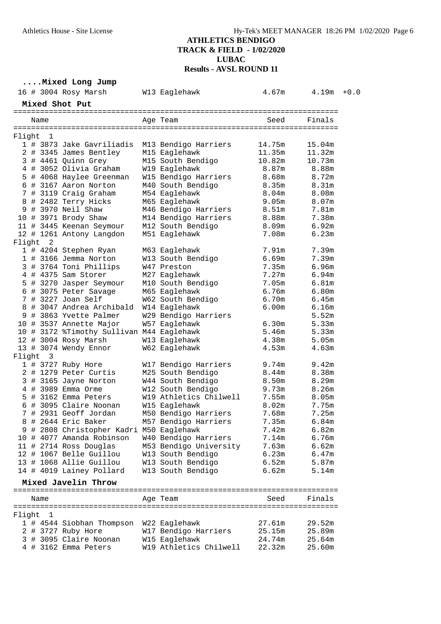**....Mixed Long Jump**

|        |                          | 16 # 3004 Rosy Marsh                                                  | W13 Eaglehawk          | 4.67m             | $4.19m + 0.0$  |  |
|--------|--------------------------|-----------------------------------------------------------------------|------------------------|-------------------|----------------|--|
|        |                          |                                                                       |                        |                   |                |  |
|        |                          | Mixed Shot Put                                                        |                        |                   |                |  |
|        | Name                     |                                                                       | Age Team               | Seed              | Finals         |  |
|        |                          |                                                                       |                        |                   |                |  |
| Flight | $\overline{\phantom{0}}$ |                                                                       |                        |                   |                |  |
|        |                          | 1 # 3873 Jake Gavriliadis                                             | M13 Bendigo Harriers   | 14.75m            | 15.04m         |  |
|        |                          | 2 # 3345 James Bentley                                                | M15 Eaglehawk          | 11.35m            | 11.32m         |  |
|        |                          | 3 # 4461 Quinn Grey                                                   | M15 South Bendigo      | 10.82m            | 10.73m         |  |
|        |                          | 4 # 3052 Olivia Graham                                                | W19 Eaglehawk          | 8.87m             | 8.88m          |  |
|        |                          | 5 # 4068 Haylee Greenman                                              | W15 Bendigo Harriers   | 8.68m             | 8.72m          |  |
|        |                          | 6 # 3167 Aaron Norton                                                 | M40 South Bendigo      | 8.35m             | 8.31m          |  |
|        |                          | 7 # 3119 Craig Graham                                                 | M54 Eaglehawk          | 8.04 <sub>m</sub> | 8.08m          |  |
|        |                          | 8 # 2482 Terry Hicks                                                  | M65 Eaglehawk          | 9.05m             | 8.07m          |  |
|        |                          | 9 # 3970 Neil Shaw                                                    | M46 Bendigo Harriers   | 8.51m             | 7.81m          |  |
|        |                          | 10 # 3971 Brody Shaw                                                  | M14 Bendigo Harriers   | 8.88m             | 7.38m          |  |
|        |                          | 11 # 3445 Keenan Seymour                                              | M12 South Bendigo      | 8.09m             | 6.92m          |  |
|        |                          | 12 # 1261 Antony Langdon                                              | M51 Eaglehawk          | 7.08m             | 6.23m          |  |
|        | Flight 2                 |                                                                       |                        |                   |                |  |
|        |                          | 1 # 4204 Stephen Ryan                                                 | M63 Eaglehawk          | 7.91m             | 7.39m          |  |
|        |                          | 1 # 3166 Jemma Norton                                                 | W13 South Bendigo      | 6.69m             | 7.39m          |  |
|        |                          | 3 # 3764 Toni Phillips                                                | W47 Preston            | 7.35m             | 6.96m          |  |
|        |                          | 4 # 4375 Sam Storer                                                   | M27 Eaglehawk          | 7.27m             | 6.94m          |  |
|        |                          | 5 # 3270 Jasper Seymour                                               | M10 South Bendigo      | 7.05m             | 6.81m          |  |
|        |                          | 6 # 3075 Peter Savage                                                 | M65 Eaglehawk          | 6.76m             | 6.80m          |  |
|        |                          | 7 # 3227 Joan Self                                                    | W62 South Bendigo      | 6.70m             | 6.45m          |  |
|        |                          | 8 # 3047 Andrea Archibald                                             | W14 Eaglehawk          | 6.00 <sub>m</sub> | 6.16m          |  |
|        |                          | 9 # 3863 Yvette Palmer                                                | W29 Bendigo Harriers   |                   | 5.52m          |  |
|        |                          | 10 # 3537 Annette Major                                               | W57 Eaglehawk          | 6.30m             | 5.33m          |  |
|        |                          | 10 # 3172 %Timothy Sullivan M44 Eaglehawk                             |                        | 5.46m             | 5.33m          |  |
|        |                          | 12 # 3004 Rosy Marsh                                                  | W13 Eaglehawk          | 4.38m             | 5.05m          |  |
|        |                          | 13 # 3074 Wendy Ennor                                                 | W62 Eaglehawk          | 4.53m             | 4.63m          |  |
|        | Flight 3                 |                                                                       |                        |                   |                |  |
|        |                          | 1 # 3727 Ruby Hore                                                    | W17 Bendigo Harriers   | 9.74m             | 9.42m          |  |
|        |                          | 2 # 1279 Peter Curtis                                                 | M25 South Bendigo      | 8.44 <sub>m</sub> | 8.38m          |  |
|        |                          | 3 # 3165 Jayne Norton                                                 | W44 South Bendigo      | 8.50m             | 8.29m          |  |
|        |                          | 4 # 3989 Emma Orme                                                    | W12 South Bendigo      | 9.73m             | 8.26m          |  |
|        |                          | 5 # 3162 Emma Peters                                                  | W19 Athletics Chilwell | 7.55m             | 8.05m          |  |
|        |                          | 6 # 3095 Claire Noonan                                                | W15 Eaglehawk          | 8.02 <sub>m</sub> | 7.75m          |  |
|        |                          | 7 # 2931 Geoff Jordan<br>8 # 2644 Eric Baker                          | M50 Bendigo Harriers   | 7.68m<br>7.35m    | 7.25m<br>6.84m |  |
|        |                          |                                                                       | M57 Bendigo Harriers   |                   |                |  |
|        |                          | 9 # 2808 Christopher Kadri M50 Eaglehawk<br>10 # 4077 Amanda Robinson | W40 Bendigo Harriers   | 7.42m             | 6.82m<br>6.76m |  |
|        |                          | 11 # 2714 Ross Douglas                                                | M53 Bendigo University | 7.14m<br>7.63m    | 6.62m          |  |
|        |                          | 12 # 1067 Belle Guillou                                               |                        |                   |                |  |
|        |                          | 13 # 1068 Allie Guillou                                               | W13 South Bendigo      | 6.23m             | 6.47m          |  |
|        |                          | 14 # 4019 Lainey Pollard                                              | W13 South Bendigo      | 6.52m<br>6.62m    | 5.87m<br>5.14m |  |
|        |                          |                                                                       | W13 South Bendigo      |                   |                |  |
|        |                          | Mixed Javelin Throw                                                   |                        |                   |                |  |
|        | Name                     |                                                                       | Age Team               | Seed              | Finals         |  |
|        |                          |                                                                       |                        |                   |                |  |
|        | Flight 1                 |                                                                       |                        |                   |                |  |
|        |                          | 1 # 4544 Siobhan Thompson                                             | W22 Eaglehawk          | 27.61m            | 29.52m         |  |
|        |                          | 2 # 3727 Ruby Hore                                                    | W17 Bendigo Harriers   | 25.15m            | 25.89m         |  |
|        |                          | 3 # 3095 Claire Noonan                                                | W15 Eaglehawk          | 24.74m            | 25.64m         |  |
|        |                          | 4 # 3162 Emma Peters                                                  | W19 Athletics Chilwell | 22.32m            | 25.60m         |  |